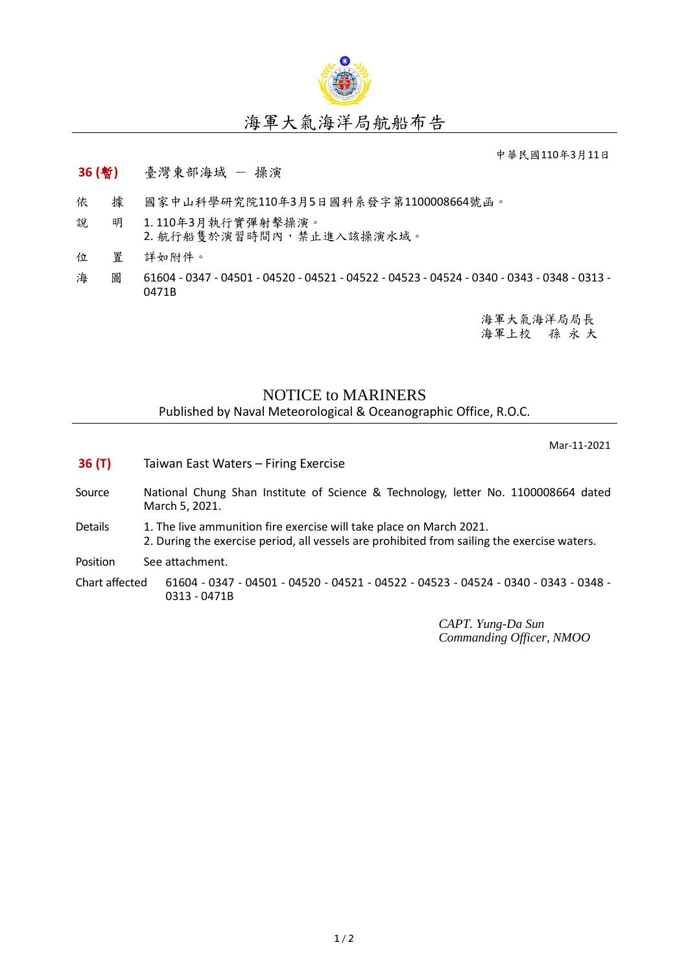

## 海軍大氣海洋局航船布告

中華民國110年3月11日

## **36 (**暫**)** 臺灣東部海域 - 操演

- 依 據 國家中山科學研究院110年3月5日國科系發字第1100008664號函。
- 說 明 1. 110年3月執行實彈射擊操演。 2. 航行船隻於演習時間內,禁止進入該操演水域。
- 位 置 詳如附件。
- 海 圖 61604 0347 04501 04520 04521 04522 04523 04524 0340 0343 0348 0313 -0471B

海軍大氣海洋局局長 海軍上校 孫 永 大

## NOTICE to MARINERS

Published by Naval Meteorological & Oceanographic Office, R.O.C.

Mar-11-2021

- **36 (T)** Taiwan East Waters Firing Exercise
- Source National Chung Shan Institute of Science & Technology, letter No. 1100008664 dated March 5, 2021.
- Details 1. The live ammunition fire exercise will take place on March 2021. 2. During the exercise period, all vessels are prohibited from sailing the exercise waters.

Position See attachment.

Chart affected 61604 - 0347 - 04501 - 04520 - 04521 - 04522 - 04523 - 04524 - 0340 - 0343 - 0348 - 0313 - 0471B

> *CAPT. Yung-Da Sun Commanding Officer, NMOO*